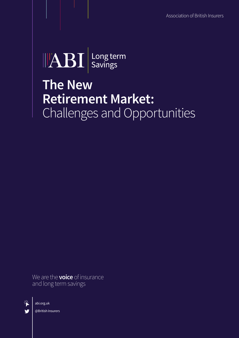Association of British Insurers



### **The New Retirement Market:**  Challenges and Opportunities

We are the **voice** of insurance and long term savings



abi.org.uk @British Insurers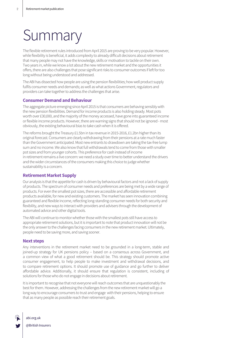# Summary

The flexible retirement rules introduced from April 2015 are proving to be very popular. However, while flexibility is beneficial, it adds complexity to already difficult decisions about retirement that many people may not have the knowledge, skills or motivation to tackle on their own. Two years in, while we know a lot about the new retirement market and the opportunities it offers, there are also challenges that pose significant risks to consumer outcomes if left for too long without being understood and addressed.

The ABI has dissected how people are using the pension flexibilities; how well product supply fulfils consumer needs and demands; as well as what actions Government, regulators and providers can take together to address the challenges that arise.

#### **Consumer Demand and Behaviour**

The aggregate picture emerging since April 2015 is that consumers are behaving sensibly with the new pension flexibilities. Demand for income products is also holding steady. Most pots worth over £30,000, and the majority of the money accessed, have gone into guaranteed income or flexible income products. However, there are warning signs that should not be ignored - most obviously, the existing behavioural bias to take cash when it is offered.

The reforms brought the Treasury £1.5bn in tax revenue in 2015-2016, £1.2bn higher than its original forecast. Consumers are clearly withdrawing from their pensions at a rate much faster than the Government anticipated. Most new entrants to drawdown are taking the tax-free lump sum and no income. We also know that full withdrawals tend to come from those with smaller pot sizes and from younger cohorts. This preference for cash instead of income in retirement remains a live concern: we need a study over time to better understand the drivers and the wider circumstances of the consumers making this choice to judge whether sustainability is a concern.

#### **Retirement Market Supply**

Our analysis is that the appetite for cash is driven by behavioural factors and not a lack of supply of products. The spectrum of consumer needs and preferences are being met by a wide range of products. For even the smallest pot sizes, there are accessible and affordable retirement products available, for new and existing customers. The market has seen innovation combining guaranteed and flexible income, reflecting long-standing consumer needs for both security and flexibility, and new ways to interact with providers and advisers through the development of automated advice and other digital tools.

The ABI will continue to monitor whether those with the smallest pots still have access to appropriate retirement solutions, but it is important to note that product innovationwill not be the only answer to the challenges facing consumers in the new retirement market. Ultimately, people need to be saving more, and saving sooner.

#### **Next steps**

Any interventions in the retirement market need to be grounded in a long-term, stable and joined-up strategy for UK pensions policy – based on a consensus across Government, and a common view of what a good retirement should be. This strategy should promote active consumer engagement, to help people to make investment and withdrawal decisions, and to compare retirement options. It should promote use of guidance and go further to deliver affordable advice. Additionally, it should ensure that regulation is consistent, including of solutions for those who do not engage in decisions about retirement.

It is important to recognise that not everyone will reach outcomes that are unquestionably the best for them. However, addressing the challenges from the new retirement market will go a long way to encourage consumers to trust and engage with their pensions, helping to ensure that as many people as possible reach their retirement goals.

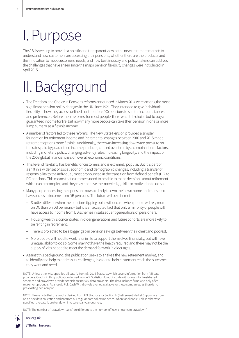### I.Purpose

The ABI is seeking to provide a holistic and transparent view of the new retirement market: to understand how customers are accessing their pensions, whether there are the products and the innovation to meet customers' needs, and how best industry and policymakers can address the challenges that have arisen since the major pension flexibility changes were introduced in April 2015.

# II.Background

- The Freedom and Choice in Pensions reforms announced in March 2014 were among the most significant pension policy changes in the UK since 1921. They intended to give individuals flexibility in how they access defined contribution (DC) pensions to suit their circumstances and preferences. Before these reforms, for most people, there was little choice but to buy a guaranteed income for life, but now many more people can take their pension in one or more lump sums or as a flexible income.
- A number of factors led to these reforms. The New State Pension provided a simpler foundation for retirement income and incremental changes between 2010 and 2015 made retirement options more flexible. Additionally, there was increasing downward pressure on the rates paid by guaranteed income products, caused over time by a combination of factors, including monetary policy, changing solvency rules, increasing longevity, and the impact of the 2008 global financial crisis on overall economic conditions.
- This level of flexibility has benefits for customers and is extremely popular. But it is part of a shift in a wider set of social, economic and demographic changes, including a transfer of responsibility to the individual, most pronounced in the transition from defined benefit (DB) to DC pensions. This means that customers need to be able to make decisions about retirement which can be complex, and they may not have the knowledge, skills or motivation to do so.
- Many people accessing their pensions now are likely to own their own home and many also have access to income from DB pensions. The future will be different:
	- Studies differ on when the pensions tipping point will occur when people will rely more on DC than on DB pensions – but it is an accepted fact that only a minority of people will have access to income from DB schemes in subsequent generations of pensioners.
	- Housing wealth is concentrated in older generations and future cohorts are more likely to be renting in retirement.
	- There is projected to be a bigger gap in pension savings between the richest and poorest.
	- More people will need to work later in life to support themselves financially, but will have unequal ability to do so. Some may not have the health required and there may not be the supply of jobs needed to meet the demand for work in older ages.
- • Against this background, this publication seeks to analyse the new retirement market, and to identify and help to address its challenges, in order to help customers reach the outcomes they want and need.

NOTE: Unless otherwise specified all data is from ABI 2016 Statistics, which covers information from ABI data providers. Graphs in this publication derived from ABI Statistics do not include withdrawals for trust-based schemes and drawdown providers which are not ABI data providers. The data includes firms who only offer retirement products. As a result, Full-Cash Withdrawals are not available for these companies, as there is no pre-existing pension pot.

NOTE: Please note that the graphs derived from ABI Statistics for Section IV (Retirement Market Supply) are from an ad hoc data collection and not from our regular data collection series. Where applicable, unless otherwise specified, the data is broken down into calendar year quarters.

NOTE: The number of 'drawdown sales' are different to the number of 'new entrants to drawdown'.

abi.org.uk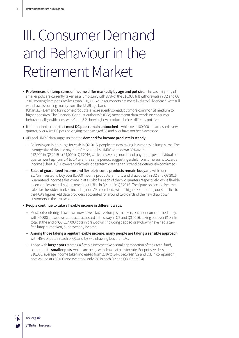## III. Consumer Demand and Behaviour in the Retirement Market

• **Preferences for lump sums or income differ markedly by age and pot size.** The vast majority of smaller pots are currently taken as a lump sum, with 88% of the 116,000 full withdrawals in Q2 and Q3 2016 coming from pot sizes less than £30,000. Younger cohorts are more likely to fully encash, with full withdrawals coming mainly from the 55-59 age band

(Chart 3.1). Demand for income products is more evenly spread, but more common at medium to higher pot sizes. The Financial Conduct Authority's (FCA) most recent data trends on consumer behaviour align with ours, with Chart 3.2 showing how product choices differ by pot size.

- It is important to note that**most DC pots remain untouched** while over 100,000 are accessed every quarter, over 4.7m DC pots belonging to those aged 55 and over have not been accessed.
- ABI and HMRC data suggests that the **demand for income products is steady**.
	- Following an initial surge for cash in Q2 2015, people are now taking less money in lump sums. The average size of 'flexible payments' recorded byHMRC went down 69% from £12,900 in Q2 2015 to £4,000 in Q4 2016, while the average number of payments per individual per quarterwent up from 1.4 to 2.4 overthe same period, suggesting a shift from lump sums towards income (Chart 3.3). However, only with longer term data can this trend be definitively confirmed.
	- **Sales of guaranteed income and flexible income products remain buoyant**,with over £5.7bn invested to buy over 82,000 income products (annuity and drawdown) in Q2 and Q3 2016. Guaranteed income sales come in at £1.2bn for each of the two quarters respectively, while flexible income sales are still higher, reaching £1.7bn in Q2 and in Q3 2016. The figure on flexible income sales for thewider market, including non-ABI members, will be higher. Comparing our statistics to the FCA's figures, ABI data providers accounted for around two-thirds of the new drawdown customers in the last two quarters.
- **People continue to take a flexible income in different ways.** 
	- Most pots entering drawdown now have a tax-free lump sum taken, but no income immediately, with 40,880 drawdown contracts accessed in this way in Q2 and Q3 2016, taking out over £1bn. In total at the end of Q3, 114,000 pots in drawdown (including capped drawdown) have had a taxfree lump sum taken, but never any income.
	- **Among those taking a regular flexible income, many people are taking a sensible approach**, with 45% of pots in each of Q2 and Q3 withdrawing less than 1%.
	- Those with **larger pots** starting a flexible income take a smaller proportion of their total fund, compared to **smaller pots**, which are being withdrawn at a faster rate. For pot sizes less than £10,000, average income taken increased from 28% to 34% between Q2 and Q3. In comparison, pots valued at £50,000 and over took only 2% in both Q2 and Q3 (Chart 3.4).

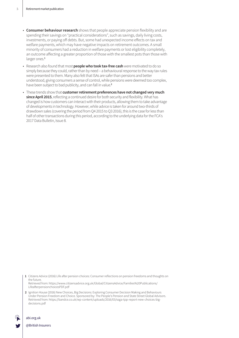- **Consumer behaviour research** shows that people appreciate pension flexibility and are spending their savings on "practical considerations", such as savings, daily living costs, investments, or paying off debts. But, some had unexpected income effects on tax and welfare payments, which may have negative impacts on retirement outcomes. A small minority of consumers had a reduction in welfare payments or lost eligibility completely, an outcome affecting a greater proportion of those with the smallest pots than those with larger ones.**<sup>1</sup>**
- Research also found that most **people who took tax-free cash** were motivated to do so simply because they could, rather than by need – a behavioural response to the way tax rules were presented to them. Many also felt that ISAs are safer than pensions and better understood, giving consumers a sense of control, while pensions were deemed too complex, have been subject to bad publicity, and can fall in value.**<sup>2</sup>**
- These trends show that **customer retirement preferences have not changed very much since April 2015**, reflecting a continued desire for both security and flexibility. What has changed is how customers can interact with their products, allowing them to take advantage of developments in technology. However, while advice is taken for around two-thirds of drawdown sales (covering the period from Q4 2015 to Q3 2016), this is the case for less than half of other transactions during this period, according to the underlying data for the FCA's 2017 Data Bulletin, Issue 8.

**1** Citizens Advice (2016) Life after pension choices: Consumer reflections on pension freedoms and thoughts on the future. Retrieved from: https://www.citizensadvice.org.uk/Global/CitizensAdvice/Families%20Publications/ LifeafterpensionchoicesPDF.pdf

**2** Ignition House (2016) New Choices, Big Decisions: Exploring Consumer Decision Making and Behaviours Under Pension Freedom and Choice. Sponsored by: The People's Pension and State Street Global Advisors. Retrieved from: https://bandce.co.uk/wp-content/uploads/2016/03/ssga-tpp-report-new-choices-bigdecisions.pdf

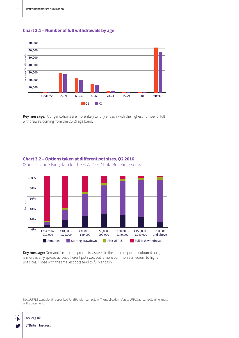



**Key message:** Younger cohorts are more likely to fully encash, with the highest number of full withdrawals coming from the 55-59 age band.



#### **Chart 3.2 – Options taken at different pot sizes, Q2 2016**  (Source: Underlying data for the FCA's 2017 Data Bulletin, Issue 8.)

**Key message:**Demand for income products, as seen in the different purple-coloured bars, is more evenly spread across different pot sizes, but is more common at medium to higher pot sizes. Those with the smallest pots tend to fully encash.

Note: UFPLS stands for Uncrystallised Fund Pension Lump Sum. The publication refers to UFPLS as "Lump Sum" for most of the document.



#### abi.org.uk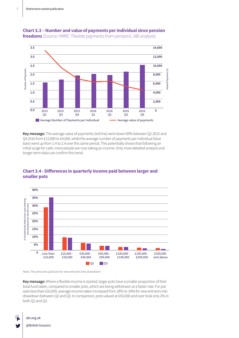



**Key message:** The average value of payments (red line) went down 69% between Q2 2015 and Q4 2016 from £12,900 to £4,000, while the average number of payments per individual (blue bars) went up from 1.4 to 2.4 over this same period. This potentially shows that following an initial surge for cash, more people are now taking an income. Only more detailed analysis and longer-term data can confirm this trend.

### **Chart 3.4 - Differences in quarterly income paid between larger and smaller pots**



Note: The amounts paid are for new entrants into drawdown

**Key message:** Where a flexible income is started, larger pots have a smaller proportion of their total fund taken, compared to smaller pots, which are being withdrawn at a faster rate. For pot sizes less than £10,000, average income taken increased from 28% to 34% for new entrants into drawdown between Q2 and Q3. In comparison, pots valued at £50,000 and over took only 2% in both Q2 and Q3.

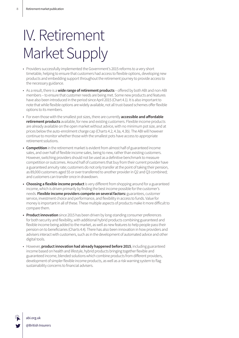# IV. Retirement Market Supply

- Providers successfully implemented the Government's 2015 reforms to a very short timetable, helping to ensure that customers had access to flexible options, developing new products and embedding support throughout the retirement journey to provide access to the necessary guidance.
- • As a result, there is a **wide range of retirement products** offered by both ABI and non-ABI members – to ensure that customer needs are being met. Some new products and features have also been introduced in the period since April 2015 (Chart 4.1). It is also important to note that while flexible options are widely available, not all trust-based schemes offer flexible options to its members.
- • For even those with the smallest pot sizes, there are currently **accessible and affordable retirement products** available, for new and existing customers. Flexible income products are already available on the open market without advice, with no minimum pot size, and at prices below the auto-enrolment charge cap (Charts 4.2, 4.3a, 4.3b). The ABI will however continue to monitor whether those with the smallest pots have access to appropriate retirement solutions.
- **Competition** in the retirement market is evident from almost half of guaranteed income sales, and over half of flexible income sales, being to new, rather than existing customers. However, switching providers should not be used as a definitive benchmark to measure competition or outcomes. Around half of customers that buy from their current provider have a guaranteed annuity rate; customers do not only transfer at the point of taking their pension, as 89,000 customers aged 55 or over transferred to another provider in Q2 and Q3 combined; and customers can transfer once in drawdown.
- **Choosing a flexible income product** is very different from shopping around for a guaranteed income, which is driven primarily by finding the best income possible for the customer's needs. **Flexible income providers compete on several factors:** guarantees, customer service, investment choice and performance, and flexibility in access to funds. Value for money is important in all of these. These multiple aspects of products make it more difficult to compare them.
- **• Product innovation** since 2015 has been driven by long-standing consumer preferences for both security and flexibility, with additional hybrid products combining guaranteed and flexible income being added to the market, as well as new features to help people pass their pension on to beneficiaries (Charts 4.4). There has also been innovation in how providers and advisers interact with customers, such as in the development of automated advice and other digital tools.
- • However, **product innovation had already happened before 2015**, including guaranteed income based on health and lifestyle, hybrid products bringing together flexible and guaranteed income, blended solutions which combine products from different providers, development of simpler flexible income products, as well as a risk warning system to flag sustainability concerns to financial advisers.

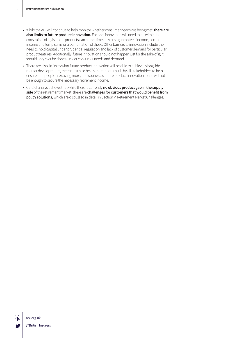- While the ABI will continue to help monitor whether consumer needs are being met,**there are also limits to future product innovation.** For one, innovation will need to be within the constraints of legislation: products can at this time only be a guaranteed income, flexible income and lump sums or a combination of these. Other barriers to innovation include the need to hold capital under prudential regulation and lack of customer demand for particular product features. Additionally, future innovation should not happen just for the sake of it; it should only ever be done to meet consumer needs and demand.
- There are also limits to what future product innovation will be able to achieve. Alongside market developments, there must also be a simultaneous push by all stakeholders to help ensure that people are saving more, and sooner, as future product innovation alone will not be enough to secure the necessary retirement income.
- Careful analysis shows that while there is currently **no obvious product gap in the supply side** of the retirement market, there are **challenges for customers that would benefit from policy solutions,**which are discussed in detail in Section V, Retirement Market Challenges.

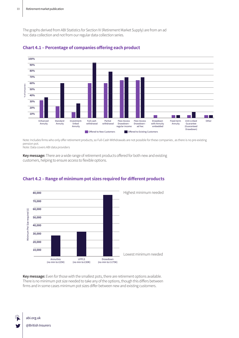The graphs derived from ABI Statistics for Section IV (Retirement Market Supply) are from an ad hoc data collection and not from our regular data collection series.





Note: Includes firms who only offer retirement products, so Full-Cash Withdrawals are not possible for these companies , as there is no pre-existing pension pot.

Note: Data covers ABI data providers

**Key message:** There are a wide range of retirement products offered for both new and existing customers, helping to ensure access to flexible options.



### **Chart 4.2 – Range of minimum pot sizes required for different products**

**Key message:** Even for those with the smallest pots, there are retirement options available. There is no minimum pot size needed to take any of the options, though this differs between firms and in some cases minimum pot sizes differ between new and existing customers.

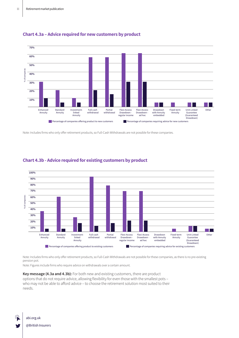



Note: Includes firms who only offer retirement products, so Full-Cash Withdrawals are not possible for these companies.



#### **Chart 4.3b - Advice required for existing customers by product**

Note: Includes firms who only offer retirement products, so Full-Cash Withdrawals are not possible for these companies, as there is no pre-existing pension pot.

Note: Figures include firms who require advice on withdrawals over a certain amount.

**Key message (4.3a and 4.3b):** For both new and existing customers, there are product options that do not require advice, allowing flexibility for even those with the smallest pots – who may not be able to afford advice – to choose the retirement solution most suited to their needs.

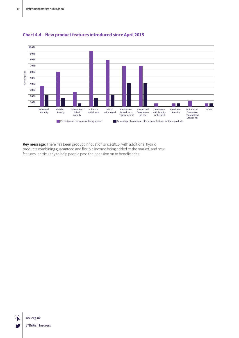

### **Chart 4.4 – New product features introduced since April 2015**

**Key message:** There has been product innovation since 2015, with additional hybrid products combining guaranteed and flexible income being added to the market, and new features, particularly to help people pass their pension on to beneficiaries.

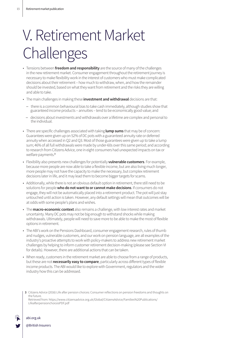# V. Retirement Market Challenges

- • Tensions between **freedom and responsibility** are the source of many of the challenges in the new retirement market. Consumer engagement throughout the retirement journey is necessary to make flexibility work in the interest of customers who must make complicated decisions about their retirement – how much to withdraw, when, and how the remainder should be invested, based on what they want from retirement and the risks they are willing and able to take.
- The main challenges in making these **investment and withdrawal** decisions are that:
	- there is a common behavioural bias to take cash immediately, although studies show that guaranteed income products – annuities – tend to be economically good value; and
	- decisions about investments and withdrawals over a lifetime are complex and personal to the individual.
- There are specific challenges associated with taking **lump sums** that may be of concern: Guarantees were given up on 52% of DC pots with a guaranteed annuity rate or deferred annuity when accessed in Q2 and Q3. Most of those guarantees were given up to take a lump sum; 46% of all full withdrawals were made by under-60s over this same period; and according to research from Citizens Advice, one in eight consumers had unexpected impacts on tax or welfare payments.**<sup>3</sup>**
- Flexibility also presents new challenges for potentially **vulnerable customers**. For example, because more people are now able to take a flexible income, but are also living much longer, more people may not have the capacity to make the necessary, but complex retirement decisions later in life, and it may lead them to become bigger targets for scams.
- Additionally, while there is not an obvious default option in retirement, there still need to be solutions for people**who do not want to or cannot make decisions**. If consumers do not engage, theywill not be automatically placed into a retirement product. The pot will just stay untouched until action is taken. However, any default settings will mean that outcomes will be at odds with some people's plans and wishes.
- The **macro-economic context** also remains a challenge, with low interest rates and market uncertainty. Many DC pots may not be big enough to withstand shocks while making withdrawals. Ultimately, people will need to save more to be able to make the most of flexible options in retirement.
- The ABI's work on the Pensions Dashboard, consumer engagement research, rules of thumb and nudges, vulnerable customers, and our work on pension language, are all examples of the industry's proactive attempts to work with policy-makers to address new retirement market challenges by helping to inform customer retirement decision-making (please see Section VI for details). However, there are additional actions that can be taken.
- When ready, customers in the retirement market are able to choose from a range of products, but these are not **necessarily easy to compare**, particularly across different types of flexible income products. The ABI would like to explore with Government, regulators and the wider industry howthis can be addressed.

Retrieved from: https://www.citizensadvice.org.uk/Global/CitizensAdvice/Families%20Publications/ LifeafterpensionchoicesPDF.pdf



**<sup>3</sup>** Citizens Advice (2016) Life after pension choices: Consumer reflections on pension freedoms and thoughts on the future.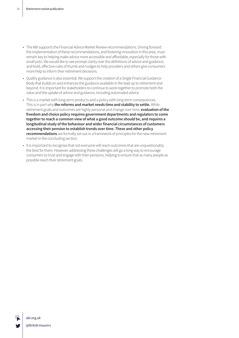- The ABI supports the Financial Advice Market Review recommendations. Driving forward the implementation of these recommendations, and fostering innovation in this area, must remain key to helping make advice more accessible and affordable, especially for those with small pots. We would like to see prompt clarity over the definitions of advice and guidance, and bold, effective rules of thumb and nudges to help providers and others give consumers more help to inform their retirement decisions.
- Quality guidance is also essential. We support the creation of a Single Financial Guidance Body that builds on and enhances the guidance available in the lead up to retirement and beyond. It is important for stakeholders to continue to work together to promote both the value and the uptake of advice and guidance, including automated advice.
- This is a market with long-term products and a policy with long-term consequences. This is in part why **the reforms and market needs time and stability to settle.** While retirement goals and outcomes are highly personal and change over time, **evaluation of the freedom and choice policy requires government departments and regulators to come together to reach a common view of what a good outcome should be, and requires a longitudinal study of the behaviour and wider financial circumstances of customers accessing their pension to establish trends over time. These and other policy recommendations** are formally set out in a framework of principles for the new retirement market in the concluding section.
- • It is important to recognise that not everyone will reach outcomes that are unquestionably the best for them. However, addressing these challenges will go a long way to encourage consumers to trust and engage with their pensions, helping to ensure that as many people as possible reach their retirement goals.

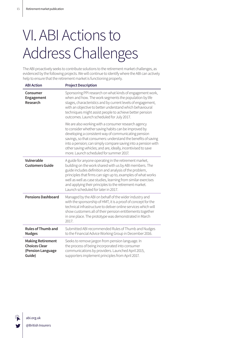# VI.ABI Actions to Address Challenges

The ABI proactively seeks to contribute solutions to the retirement market challenges, as evidenced by the following projects. We will continue to identify where the ABI can actively help to ensure that the retirement market is functioning properly.

| <b>ABI Action</b>                                                               | <b>Project Description</b>                                                                                                                                                                                                                                                                                                                                                                                        |
|---------------------------------------------------------------------------------|-------------------------------------------------------------------------------------------------------------------------------------------------------------------------------------------------------------------------------------------------------------------------------------------------------------------------------------------------------------------------------------------------------------------|
| Consumer<br>Engagement<br>Research                                              | Sponsoring PPI research on what kinds of engagement work,<br>when and how. The work segments the population by life<br>stages, characteristics and by current levels of engagement,<br>with an objective to better understand which behavioural<br>techniques might assist people to achieve better pension<br>outcomes. Launch scheduled for July 2017.                                                          |
|                                                                                 | We are also working with a consumer research agency<br>to consider whether saving habits can be improved by<br>developing a consistent way of communicating pension<br>savings, so that consumers: understand the benefits of saving<br>into a pension; can simply compare saving into a pension with<br>other saving vehicles; and are, ideally, incentivised to save<br>more. Launch scheduled for summer 2017. |
| Vulnerable<br><b>Customers Guide</b>                                            | A guide for anyone operating in the retirement market,<br>building on the work shared with us by ABI members. The<br>guide includes definition and analysis of the problem,<br>principles that firms can sign up to, examples of what works<br>well as well as case studies, learning from similar exercises<br>and applying their principles to the retirement market.<br>Launch scheduled for later in 2017.    |
| <b>Pensions Dashboard</b>                                                       | Managed by the ABI on behalf of the wider industry and<br>with the sponsorship of HMT, it is a proof of concept for the<br>technical infrastructure to deliver online services which will<br>show customers all of their pension entitlements together<br>in one place. The prototype was demonstrated in March<br>2017.                                                                                          |
| <b>Rules of Thumb and</b><br><b>Nudges</b>                                      | Submitted ABI recommended Rules of Thumb and Nudges<br>to the Financial Advice Working Group in December 2016.                                                                                                                                                                                                                                                                                                    |
| <b>Making Retirement</b><br><b>Choices Clear</b><br>(Pension Language<br>Guide) | Seeks to remove jargon from pension language. In<br>the process of being incorporated into consumer<br>communications by providers. Launched April 2015,<br>supporters implement principles from April 2017.                                                                                                                                                                                                      |

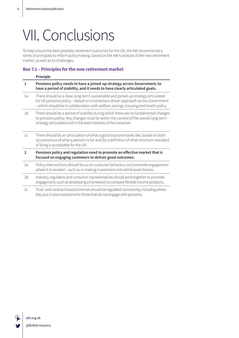## VII. Conclusions

To help ensure the best possible retirement outcomes for the UK, the ABI recommends a series of principles to inform policymaking, based on the ABI's analysis of the new retirement market, as well as its challenges.

### **Box 7.1 – Principles for the new retirement market**

|                | <b>Principle</b>                                                                                                                                                                                                                                              |  |
|----------------|---------------------------------------------------------------------------------------------------------------------------------------------------------------------------------------------------------------------------------------------------------------|--|
| 1              | Pensions policy needs to have a joined-up strategy across Government, to<br>have a period of stability, and it needs to have clearly articulated goals.                                                                                                       |  |
| 1a             | There should be a clear, long-term, sustainable and joined-up strategy articulated<br>for UK pensions policy - based on a consensus driven approach across Government<br>- which should be in collaboration with welfare, savings, housing and health policy. |  |
| 1 <sub>b</sub> | There should be a period of stability during which there are no fundamental changes<br>to pensions policy. Any changes must be within the context of the overall long-term<br>strategy articulated and in the best interests of the consumer.                 |  |
| 1c             | There should be an articulation of what a good outcome looks like, based on both<br>(a) consensus of what a pension is for and (b) a definition of what minimum standard<br>of living is acceptable for the UK.                                               |  |
| $\overline{2}$ | Pensions policy and regulation need to promote an effective market that is<br>focused on engaging customers to deliver good outcomes.                                                                                                                         |  |
| 2a             | Policy interventions should focus on customer behaviour and promote engagement<br>where it is needed - such as in making investment and withdrawal choices.                                                                                                   |  |
| 2 <sub>b</sub> | Industry, regulators and consumer representatives should work together to promote<br>engagement, such as developing a framework to compare flexible income products.                                                                                          |  |
| 2c             | Trust- and contract-based schemes should be regulated consistently, including where<br>they put in place solutions for those that do not engage with pensions.                                                                                                |  |